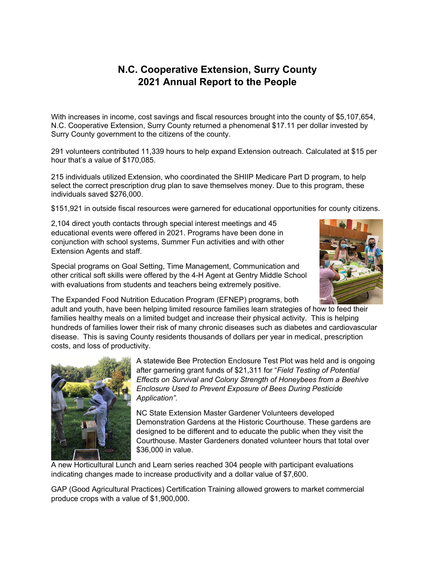## **N.C. Cooperative Extension, Surry County 2021 Annual Report to the People**

With increases in income, cost savings and fiscal resources brought into the county of \$5,107,654, N.C. Cooperative Extension, Surry County returned a phenomenal \$17.11 per dollar invested by Surry County government to the citizens of the county.

291 volunteers contributed 11,339 hours to help expand Extension outreach. Calculated at \$15 per hour that's a value of \$170,085.

215 individuals utilized Extension, who coordinated the SHIIP Medicare Part D program, to help select the correct prescription drug plan to save themselves money. Due to this program, these individuals saved \$276,000.

\$151,921 in outside fiscal resources were garnered for educational opportunities for county citizens.

2,104 direct youth contacts through special interest meetings and 45 educational events were offered in 2021. Programs have been done in conjunction with school systems, Summer Fun activities and with other Extension Agents and staff.

Special programs on Goal Setting, Time Management, Communication and other critical soft skills were offered by the 4-H Agent at Gentry Middle School with evaluations from students and teachers being extremely positive.



The Expanded Food Nutrition Education Program (EFNEP) programs, both adult and youth, have been helping limited resource families learn strategies of how to feed their families healthy meals on a limited budget and increase their physical activity. This is helping hundreds of families lower their risk of many chronic diseases such as diabetes and cardiovascular disease. This is saving County residents thousands of dollars per year in medical, prescription costs, and loss of productivity.



A statewide Bee Protection Enclosure Test Plot was held and is ongoing after garnering grant funds of \$21,311 for "*Field Testing of Potential Effects on Survival and Colony Strength of Honeybees from a Beehive Enclosure Used to Prevent Exposure of Bees During Pesticide Application".* 

NC State Extension Master Gardener Volunteers developed Demonstration Gardens at the Historic Courthouse. These gardens are designed to be different and to educate the public when they visit the Courthouse. Master Gardeners donated volunteer hours that total over \$36,000 in value.

A new Horticultural Lunch and Learn series reached 304 people with participant evaluations indicating changes made to increase productivity and a dollar value of \$7,600.

GAP (Good Agricultural Practices) Certification Training allowed growers to market commercial produce crops with a value of \$1,900,000.